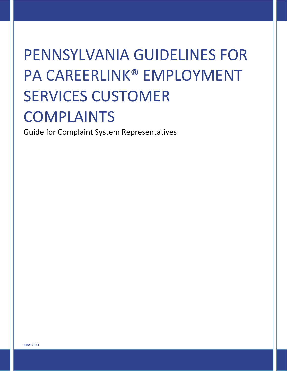# PENNSYLVANIA GUIDELINES FOR PA CAREERLINK® EMPLOYMENT SERVICES CUSTOMER COMPLAINTS

Guide for Complaint System Representatives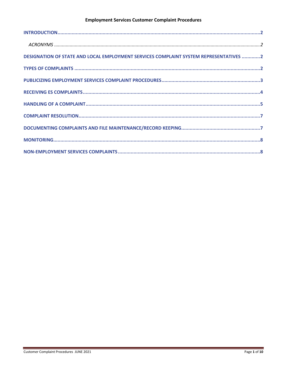| DESIGNATION OF STATE AND LOCAL EMPLOYMENT SERVICES COMPLAINT SYSTEM REPRESENTATIVES 2 |  |
|---------------------------------------------------------------------------------------|--|
|                                                                                       |  |
|                                                                                       |  |
|                                                                                       |  |
|                                                                                       |  |
|                                                                                       |  |
|                                                                                       |  |
|                                                                                       |  |
|                                                                                       |  |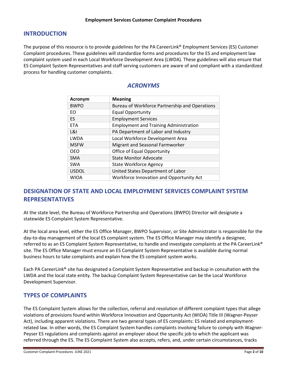## <span id="page-2-0"></span>**INTRODUCTION**

<span id="page-2-1"></span>The purpose of this resource is to provide guidelines for the PA CareerLink® Employment Services (ES) Customer Complaint procedures. These guidelines will standardize forms and procedures for the ES and employment law complaint system used in each Local Workforce Development Area (LWDA). These guidelines will also ensure that ES Complaint System Representatives and staff serving customers are aware of and compliant with a standardized process for handling customer complaints.

# *ACRONYMS*

| Acronym      | <b>Meaning</b>                                 |
|--------------|------------------------------------------------|
| <b>BWPO</b>  | Bureau of Workforce Partnership and Operations |
| EO           | <b>Equal Opportunity</b>                       |
| <b>ES</b>    | <b>Employment Services</b>                     |
| <b>ETA</b>   | <b>Employment and Training Administration</b>  |
| L&I          | PA Department of Labor and Industry            |
| <b>LWDA</b>  | Local Workforce Development Area               |
| <b>MSFW</b>  | Migrant and Seasonal Farmworker                |
| <b>OEO</b>   | Office of Equal Opportunity                    |
| <b>SMA</b>   | <b>State Monitor Advocate</b>                  |
| <b>SWA</b>   | <b>State Workforce Agency</b>                  |
| <b>USDOL</b> | United States Department of Labor              |
| WIOA         | Workforce Innovation and Opportunity Act       |

# <span id="page-2-2"></span>**DESIGNATION OF STATE AND LOCAL EMPLOYMENT SERVICES COMPLAINT SYSTEM REPRESENTATIVES**

At the state level, the Bureau of Workforce Partnership and Operations (BWPO) Director will designate a statewide ES Complaint System Representative.

At the local area level, either the ES Office Manager, BWPO Supervisor, or Site Administrator is responsible for the day‐to‐day management of the local ES complaint system. The ES Office Manager may identify a designee, referred to as an ES Complaint System Representative, to handle and investigate complaints at the PA CareerLink® site. The ES Office Manager must ensure an ES Complaint System Representative is available during normal business hours to take complaints and explain how the ES complaint system works.

Each PA CareerLink® site has designated a Complaint System Representative and backup in consultation with the LWDA and the local state entity. The backup Complaint System Representative can be the Local Workforce Development Supervisor.

## <span id="page-2-3"></span>**TYPES OF COMPLAINTS**

The ES Complaint System allows for the collection, referral and resolution of different complaint types that allege violations of provisions found within Workforce Innovation and Opportunity Act (WIOA) Title III (Wagner-Peyser Act), including apparent violations. There are two general types of ES complaints: ES related and employmentrelated law. In other words, the ES Complaint System handles complaints involving failure to comply with Wagner-Peyser ES regulations and complaints against an employer about the specific job to which the applicant was referred through the ES. The ES Complaint System also accepts, refers, and, under certain circumstances, tracks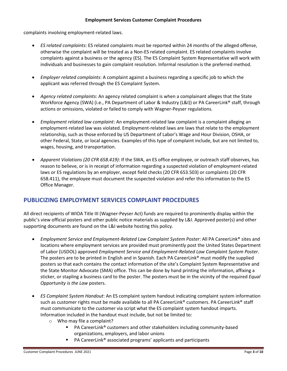complaints involving employment-related laws.

- *ES related complaints*: ES related complaints must be reported within 24 months of the alleged offense, otherwise the complaint will be treated as a Non‐ES related complaint. ES related complaints involve complaints against a business or the agency (ES). The ES Complaint System Representative will work with individuals and businesses to gain complaint resolution. Informal resolution is the preferred method.
- *Employer related complaints*: A complaint against a business regarding a specific job to which the applicant was referred through the ES Complaint System.
- *Agency related complaints*: An agency related complaint is when a complainant alleges that the State Workforce Agency (SWA) (i.e., PA Department of Labor & Industry (L&I)) or PA CareerLink® staff, through actions or omissions, violated or failed to comply with Wagner‐Peyser regulations.
- *Employment related law complaint*: An employment‐related law complaint is a complaint alleging an employment-related law was violated. Employment-related laws are laws that relate to the employment relationship, such as those enforced by US Department of Labor's Wage and Hour Division, OSHA, or other Federal, State, or local agencies. Examples of this type of complaint include, but are not limited to, wages, housing, and transportation.
- *Apparent Violations (20 CFR 658.419)*: If the SWA, an ES office employee, or outreach staff observes, has reason to believe, or is in receipt of information regarding a suspected violation of employment-related laws or ES regulations by an employer, except field checks (20 CFR 653.503) or complaints (20 CFR 658.411), the employee must document the suspected violation and refer this information to the ES Office Manager.

## <span id="page-3-0"></span>**PUBLICIZING EMPLOYMENT SERVICES COMPLAINT PROCEDURES**

All direct recipients of WIOA Title III (Wagner-Peyser Act) funds are required to prominently display within the public's view official posters and other public notice materials as supplied by L&I. Approved poster(s) and other supporting documents are found on the L&I website hosting this policy.

- *Employment Service and Employment-Related Law Complaint System Poster*: All PA CareerLink® sites and locations where employment services are provided must prominently post the United States Department of Labor (USDOL) approved *Employment Service and Employment-Related Law Complaint System Poster*. The posters are to be printed in English and in Spanish. Each PA CareerLink® must modify the supplied posters so that each contains the contact information of the site's Complaint System Representative and the State Monitor Advocate (SMA) office. This can be done by hand printing the information, affixing a sticker, or stapling a business card to the poster. The posters must be in the vicinity of the required *Equal Opportunity is the Law* posters.
- *ES Complaint System Handout*: An ES complaint system handout indicating complaint system information such as customer rights must be made available to all PA CareerLink® customers. PA CareerLink® staff must communicate to the customer via script what the ES complaint system handout imparts. Information included in the handout must include, but not be limited to:
	- o Who may file a complaint?
		- PA CareerLink<sup>®</sup> customers and other stakeholders including community-based organizations, employers, and labor unions
		- PA CareerLink<sup>®</sup> associated programs' applicants and participants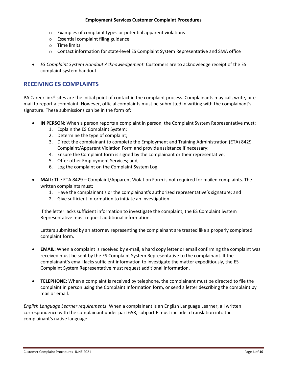- o Examples of complaint types or potential apparent violations
- o Essential complaint filing guidance
- o Time limits
- o Contact information for state-level ES Complaint System Representative and SMA office
- *ES Complaint System Handout Acknowledgement:* Customers are to acknowledge receipt of the ES complaint system handout.

## <span id="page-4-0"></span>**RECEIVING ES COMPLAINTS**

PA CareerLink® sites are the initial point of contact in the complaint process. Complainants may call, write, or email to report a complaint. However, official complaints must be submitted in writing with the complainant's signature. These submissions can be in the form of:

- **IN PERSON:** When a person reports a complaint in person, the Complaint System Representative must:
	- 1. Explain the ES Complaint System;
	- 2. Determine the type of complaint;
	- 3. Direct the complainant to complete the Employment and Training Administration (ETA) 8429 Complaint/Apparent Violation Form and provide assistance if necessary;
	- 4. Ensure the Complaint form is signed by the complainant or their representative;
	- 5. Offer other Employment Services; and,
	- 6. Log the complaint on the Complaint System Log.
- **MAIL:** The ETA 8429 Complaint/Apparent Violation Form is not required for mailed complaints. The written complaints must:
	- 1. Have the complainant's or the complainant's authorized representative's signature; and
	- 2. Give sufficient information to initiate an investigation.

If the letter lacks sufficient information to investigate the complaint, the ES Complaint System Representative must request additional information.

Letters submitted by an attorney representing the complainant are treated like a properly completed complaint form.

- **EMAIL:** When a complaint is received by e-mail, a hard copy letter or email confirming the complaint was received must be sent by the ES Complaint System Representative to the complainant. If the complainant's email lacks sufficient information to investigate the matter expeditiously, the ES Complaint System Representative must request additional information.
- **TELEPHONE:** When a complaint is received by telephone, the complainant must be directed to file the complaint in person using the Complaint Information form, or send a letter describing the complaint by mail or email.

*English Language Learner requirements*: When a complainant is an English Language Learner, all written correspondence with the complainant under part 658, subpart E must include a translation into the complainant's native language.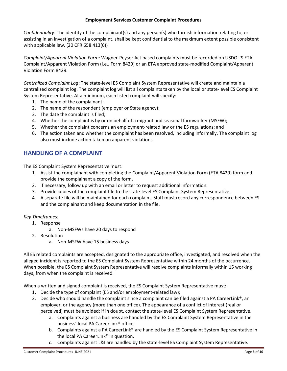*Confidentiality*: The identity of the complainant(s) and any person(s) who furnish information relating to, or assisting in an investigation of a complaint, shall be kept confidential to the maximum extent possible consistent with applicable law. (20 CFR 658.413(6))

*Complaint/Apparent Violation Form*: Wagner-Peyser Act based complaints must be recorded on USDOL'S ETA Complaint/Apparent Violation Form (i.e., Form 8429) or an ETA approved state-modified Complaint/Apparent Violation Form 8429.

*Centralized Complaint Log*: The state-level ES Complaint System Representative will create and maintain a centralized complaint log. The complaint log will list all complaints taken by the local or state-level ES Complaint System Representative. At a minimum, each listed complaint will specify:

- 1. The name of the complainant;
- 2. The name of the respondent (employer or State agency);
- 3. The date the complaint is filed;
- 4. Whether the complaint is by or on behalf of a migrant and seasonal farmworker (MSFW);
- 5. Whether the complaint concerns an employment-related law or the ES regulations; and
- 6. The action taken and whether the complaint has been resolved, including informally. The complaint log also must include action taken on apparent violations.

## <span id="page-5-0"></span>**HANDLING OF A COMPLAINT**

The ES Complaint System Representative must:

- 1. Assist the complainant with completing the Complaint/Apparent Violation Form (ETA 8429) form and provide the complainant a copy of the form.
- 2. If necessary, follow up with an email or letter to request additional information.
- 3. Provide copies of the complaint file to the state-level ES Complaint System Representative.
- 4. A separate file will be maintained for each complaint. Staff must record any correspondence between ES and the complainant and keep documentation in the file.

#### *Key Timeframes:*

- 1. Response
	- a. Non‐MSFWs have 20 days to respond
- 2. Resolution
	- a. Non‐MSFW have 15 business days

All ES related complaints are accepted, designated to the appropriate office, investigated, and resolved when the alleged incident is reported to the ES Complaint System Representative within 24 months of the occurrence. When possible, the ES Complaint System Representative will resolve complaints informally within 15 working days, from when the complaint is received.

When a written and signed complaint is received, the ES Complaint System Representative must:

- 1. Decide the type of complaint (ES and/or employment-related law);
- 2. Decide who should handle the complaint since a complaint can be filed against a PA CareerLink<sup>®</sup>, an employer, or the agency (more than one office). The appearance of a conflict of interest (real or perceived) must be avoided; if in doubt, contact the state-level ES Complaint System Representative.
	- a. Complaints against a business are handled by the ES Complaint System Representative in the business' local PA CareerLink® office.
	- b. Complaints against a PA CareerLink® are handled by the ES Complaint System Representative in the local PA CareerLink® in question.
	- c. Complaints against L&I are handled by the state-level ES Complaint System Representative.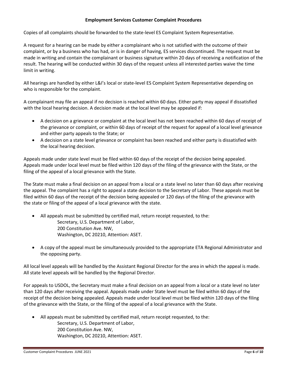Copies of all complaints should be forwarded to the state-level ES Complaint System Representative.

A request for a hearing can be made by either a complainant who is not satisfied with the outcome of their complaint, or by a business who has had, or is in danger of having, ES services discontinued. The request must be made in writing and contain the complainant or business signature within 20 days of receiving a notification of the result. The hearing will be conducted within 30 days of the request unless all interested parties waive the time limit in writing.

All hearings are handled by either L&I's local or state-level ES Complaint System Representative depending on who is responsible for the complaint.

A complainant may file an appeal if no decision is reached within 60 days. Either party may appeal if dissatisfied with the local hearing decision. A decision made at the local level may be appealed if:

- A decision on a grievance or complaint at the local level has not been reached within 60 days of receipt of the grievance or complaint, or within 60 days of receipt of the request for appeal of a local level grievance and either party appeals to the State; or
- A decision on a state level grievance or complaint has been reached and either party is dissatisfied with the local hearing decision.

Appeals made under state level must be filed within 60 days of the receipt of the decision being appealed. Appeals made under local level must be filed within 120 days of the filing of the grievance with the State, or the filing of the appeal of a local grievance with the State.

The State must make a final decision on an appeal from a local or a state level no later than 60 days after receiving the appeal. The complaint has a right to appeal a state decision to the Secretary of Labor. These appeals must be filed within 60 days of the receipt of the decision being appealed or 120 days of the filing of the grievance with the state or filing of the appeal of a local grievance with the state.

- All appeals must be submitted by certified mail, return receipt requested, to the: Secretary, U.S. Department of Labor, 200 Constitution Ave. NW, Washington, DC 20210, Attention: ASET.
- A copy of the appeal must be simultaneously provided to the appropriate ETA Regional Administrator and the opposing party.

All local level appeals will be handled by the Assistant Regional Director for the area in which the appeal is made. All state level appeals will be handled by the Regional Director.

For appeals to USDOL, the Secretary must make a final decision on an appeal from a local or a state level no later than 120 days after receiving the appeal. Appeals made under State level must be filed within 60 days of the receipt of the decision being appealed. Appeals made under local level must be filed within 120 days of the filing of the grievance with the State, or the filing of the appeal of a local grievance with the State.

• All appeals must be submitted by certified mail, return receipt requested, to the: Secretary, U.S. Department of Labor, 200 Constitution Ave. NW, Washington, DC 20210, Attention: ASET.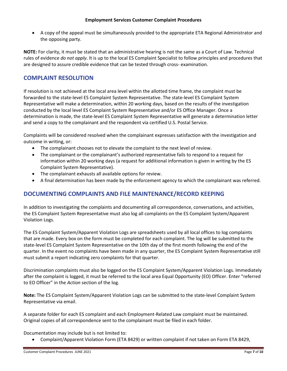• A copy of the appeal must be simultaneously provided to the appropriate ETA Regional Administrator and the opposing party.

**NOTE:** For clarity, it must be stated that an administrative hearing is not the same as a Court of Law. Technical rules of evidence *do not apply*. It is up to the local ES Complaint Specialist to follow principles and procedures that are designed to assure credible evidence that can be tested through cross- examination.

# <span id="page-7-0"></span>**COMPLAINT RESOLUTION**

If resolution is not achieved at the local area level within the allotted time frame, the complaint must be forwarded to the state-level ES Complaint System Representative. The state-level ES Complaint System Representative will make a determination, within 20 working days, based on the results of the investigation conducted by the local level ES Complaint System Representative and/or ES Office Manager. Once a determination is made, the state-level ES Complaint System Representative will generate a determination letter and send a copy to the complainant and the respondent via certified U.S. Postal Service.

Complaints will be considered resolved when the complainant expresses satisfaction with the investigation and outcome in writing, or:

- The complainant chooses not to elevate the complaint to the next level of review.
- The complainant or the complainant's authorized representative fails to respond to a request for information within 20 working days (a request for additional information is given in writing by the ES Complaint System Representative).
- The complainant exhausts all available options for review.
- A final determination has been made by the enforcement agency to which the complainant was referred.

## <span id="page-7-1"></span>**DOCUMENTING COMPLAINTS AND FILE MAINTENANCE/RECORD KEEPING**

In addition to investigating the complaints and documenting all correspondence, conversations, and activities, the ES Complaint System Representative must also log all complaints on the ES Complaint System/Apparent Violation Logs.

The ES Complaint System/Apparent Violation Logs are spreadsheets used by all local offices to log complaints that are made. Every box on the form must be completed for each complaint. The log will be submitted to the state-level ES Complaint System Representative on the 10th day of the first month following the end of the quarter. In the event no complaints have been made in any quarter, the ES Complaint System Representative still must submit a report indicating zero complaints for that quarter.

Discrimination complaints must also be logged on the ES Complaint System/Apparent Violation Logs. Immediately after the complaint is logged, it must be referred to the local area Equal Opportunity (EO) Officer. Enter "referred to EO Officer" in the *Action* section of the log.

**Note:** The ES Complaint System/Apparent Violation Logs can be submitted to the state-level Complaint System Representative via email.

A separate folder for each ES complaint and each Employment-Related Law complaint must be maintained. Original copies of all correspondence sent to the complainant must be filed in each folder.

Documentation may include but is not limited to:

• Complaint/Apparent Violation Form (ETA 8429) or written complaint if not taken on Form ETA 8429,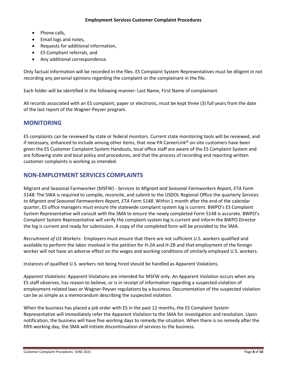- Phone calls,
- Email logs and notes,
- Requests for additional information,
- ES Compliant referrals, and
- Any additional correspondence.

Only factual information will be recorded in the files. ES Complaint System Representatives must be diligent in not recording any personal opinions regarding the complaint or the complainant in the file.

Each folder will be identified in the following manner: Last Name, First Name of complainant.

All records associated with an ES complaint, paper or electronic, must be kept three (3) full years from the date of the last report of the Wagner-Peyser program.

## <span id="page-8-0"></span>**MONITORING**

ES complaints can be reviewed by state or federal monitors. Current state monitoring tools will be reviewed, and if necessary, enhanced to include among other items, that new PA CareerLink® on-site customers have been given the ES Customer Complaint System Handouts, local office staff are aware of the ES Complaint System and are following state and local policy and procedures, and that the process of recording and reporting written customer complaints is working as intended.

## <span id="page-8-1"></span>**NON-EMPLOYMENT SERVICES COMPLAINTS**

Migrant and Seasonal Farmworker (MSFW) - *Services to Migrant and Seasonal Farmworkers Report, ETA Form 5148:* The SWA is required to compile, reconcile, and submit to the USDOL Regional Office the quarterly *Services to Migrant and Seasonal Farmworkers Report, ETA Form 5148*. Within 1 month after the end of the calendar quarter, ES office managers must ensure the statewide complaint system log is current. BWPO's ES Complaint System Representative will consult with the SMA to ensure the newly completed Form 5148 is accurate. BWPO's Complaint System Representative will verify the complaint system log is current and inform the BWPO Director the log is current and ready for submission. A copy of the completed form will be provided to the SMA.

*Recruitment of US Workers:* Employers must ensure that there are not sufficient U.S. workers qualified and available to perform the labor involved in the petition for H-2A and H-2B and that employment of the foreign worker will not have an adverse effect on the wages and working conditions of similarly employed U.S. workers.

Instances of qualified U.S. workers not being hired should be handled as Apparent Violations.

*Apparent Violations*: Apparent Violations are intended for MSFW only. An Apparent Violation occurs when any ES staff observes, has reason to believe, or is in receipt of information regarding a suspected violation of employment‐related laws or Wagner‐Peyser regulations by a business. Documentation of the suspected violation can be as simple as a memorandum describing the suspected violation.

When the business has placed a job order with ES in the past 12 months, the ES Complaint System Representative will immediately refer the Apparent Violation to the SMA for investigation and resolution. Upon notification, the business will have five working days to remedy the situation. When there is no remedy after the fifth working day, the SMA will initiate discontinuation of services to the business.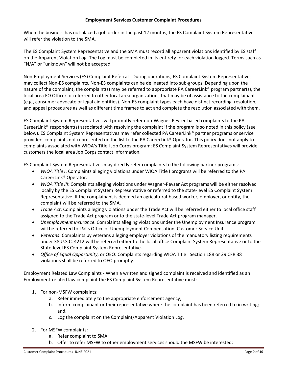When the business has not placed a job order in the past 12 months, the ES Complaint System Representative will refer the violation to the SMA.

The ES Complaint System Representative and the SMA must record all apparent violations identified by ES staff on the Apparent Violation Log. The Log must be completed in its entirety for each violation logged. Terms such as "N/A" or "unknown" will not be accepted.

Non-Employment Services (ES) Complaint Referral - During operations, ES Complaint System Representatives may collect Non-ES complaints. Non-ES complaints can be delineated into sub-groups. Depending upon the nature of the complaint, the complaint(s) may be referred to appropriate PA CareerLink<sup>®</sup> program partner(s), the local area EO Officer or referred to other local area organizations that may be of assistance to the complainant (e.g., consumer advocate or legal aid entities). Non-ES complaint types each have distinct recording, resolution, and appeal procedures as well as different time frames to act and complete the resolution associated with them.

ES Complaint System Representatives will promptly refer non-Wagner-Peyser-based complaints to the PA CareerLink® respondent(s) associated with resolving the complaint if the program is so noted in this policy (see below). ES Complaint System Representatives may refer collected PA CareerLink® partner programs or service providers complaints not represented on the list to the PA CareerLink® Operator. This policy does not apply to complaints associated with WIOA's Title I Job Corps program; ES Complaint System Representatives will provide customers the local area Job Corps contact information.

ES Complaint System Representatives may directly refer complaints to the following partner programs:

- *WIOA Title I*: Complaints alleging violations under WIOA Title I programs will be referred to the PA CareerLink® Operator.
- *WIOA Title III*: Complaints alleging violations under Wagner-Peyser Act programs will be either resolved locally by the ES Complaint System Representative or referred to the state-level ES Complaint System Representative. If the complainant is deemed an agricultural-based worker, employer, or entity, the complaint will be referred to the SMA.
- *Trade Act*: Complaints alleging violations under the Trade Act will be referred either to local office staff assigned to the Trade Act program or to the state-level Trade Act program manager.
- *Unemployment Insurance*: Complaints alleging violations under the Unemployment Insurance program will be referred to L&I's Office of Unemployment Compensation, Customer Service Unit.
- *Veterans*: Complaints by veterans alleging employer violations of the mandatory listing requirements under 38 U.S.C. 4212 will be referred either to the local office Complaint System Representative or to the State-level ES Complaint System Representative.
- *Office of Equal Opportunity*, or OEO: Complaints regarding WIOA Title I Section 188 or 29 CFR 38 violations shall be referred to OEO promptly.

Employment Related Law Complaints - When a written and signed complaint is received and identified as an Employment-related law complaint the ES Complaint System Representative must:

- 1. For non‐MSFW complaints:
	- a. Refer immediately to the appropriate enforcement agency;
	- b. Inform complainant or their representative where the complaint has been referred to in writing; and,
	- c. Log the complaint on the Complaint/Apparent Violation Log.
- 2. For MSFW complaints:
	- a. Refer complaint to SMA;
	- b. Offer to refer MSFW to other employment services should the MSFW be interested;